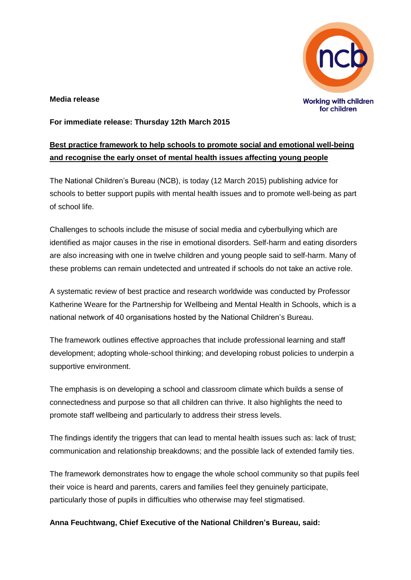

#### **Media release**

#### **For immediate release: Thursday 12th March 2015**

# **Best practice framework to help schools to promote social and emotional well-being and recognise the early onset of mental health issues affecting young people**

The National Children's Bureau (NCB), is today (12 March 2015) publishing advice for schools to better support pupils with mental health issues and to promote well-being as part of school life.

Challenges to schools include the misuse of social media and cyberbullying which are identified as major causes in the rise in emotional disorders. Self-harm and eating disorders are also increasing with one in twelve children and young people said to self-harm. Many of these problems can remain undetected and untreated if schools do not take an active role.

A systematic review of best practice and research worldwide was conducted by Professor Katherine Weare for the Partnership for Wellbeing and Mental Health in Schools, which is a national network of 40 organisations hosted by the National Children's Bureau.

The framework outlines effective approaches that include professional learning and staff development; adopting whole-school thinking; and developing robust policies to underpin a supportive environment.

The emphasis is on developing a school and classroom climate which builds a sense of connectedness and purpose so that all children can thrive. It also highlights the need to promote staff wellbeing and particularly to address their stress levels.

The findings identify the triggers that can lead to mental health issues such as: lack of trust; communication and relationship breakdowns; and the possible lack of extended family ties.

The framework demonstrates how to engage the whole school community so that pupils feel their voice is heard and parents, carers and families feel they genuinely participate, particularly those of pupils in difficulties who otherwise may feel stigmatised.

**Anna Feuchtwang, Chief Executive of the National Children's Bureau, said:**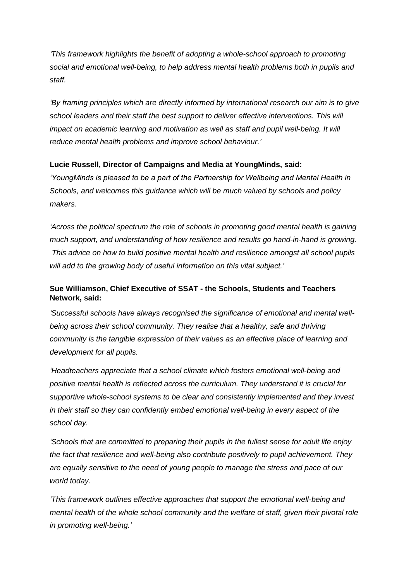*'This framework highlights the benefit of adopting a whole-school approach to promoting social and emotional well-being, to help address mental health problems both in pupils and staff.* 

*'By framing principles which are directly informed by international research our aim is to give*  school leaders and their staff the best support to deliver effective interventions. This will *impact on academic learning and motivation as well as staff and pupil well-being. It will reduce mental health problems and improve school behaviour.'*

## **Lucie Russell, Director of Campaigns and Media at YoungMinds, said:**

*'YoungMinds is pleased to be a part of the Partnership for Wellbeing and Mental Health in Schools, and welcomes this guidance which will be much valued by schools and policy makers.*

*'Across the political spectrum the role of schools in promoting good mental health is gaining much support, and understanding of how resilience and results go hand-in-hand is growing. This advice on how to build positive mental health and resilience amongst all school pupils will add to the growing body of useful information on this vital subject.'*

# **Sue Williamson, Chief Executive of SSAT - the Schools, Students and Teachers Network, said:**

*'Successful schools have always recognised the significance of emotional and mental wellbeing across their school community. They realise that a healthy, safe and thriving community is the tangible expression of their values as an effective place of learning and development for all pupils.* 

*'Headteachers appreciate that a school climate which fosters emotional well-being and positive mental health is reflected across the curriculum. They understand it is crucial for supportive whole-school systems to be clear and consistently implemented and they invest in their staff so they can confidently embed emotional well-being in every aspect of the school day.*

*'Schools that are committed to preparing their pupils in the fullest sense for adult life enjoy the fact that resilience and well-being also contribute positively to pupil achievement. They are equally sensitive to the need of young people to manage the stress and pace of our world today.* 

*'This framework outlines effective approaches that support the emotional well-being and mental health of the whole school community and the welfare of staff, given their pivotal role in promoting well-being.'*